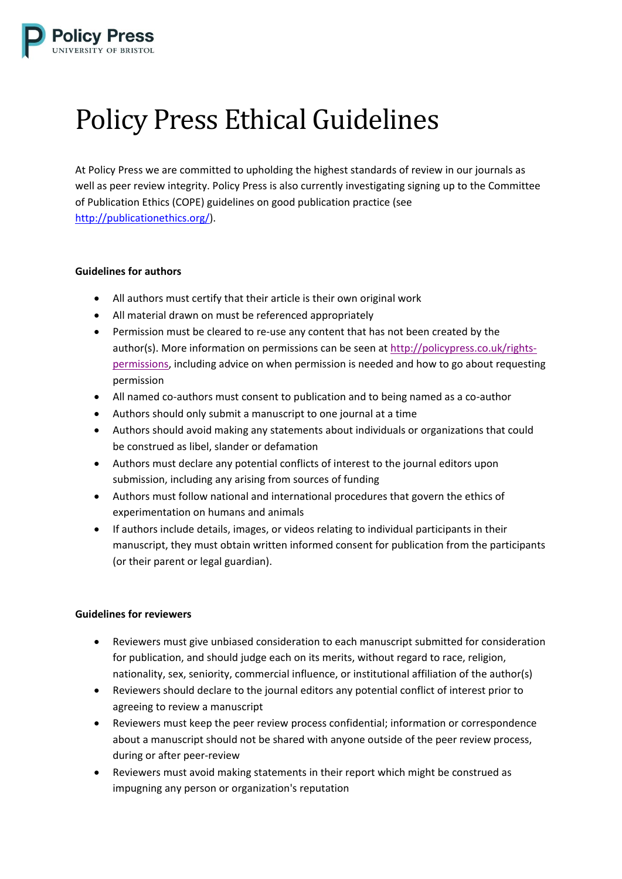

## Policy Press Ethical Guidelines

At Policy Press we are committed to upholding the highest standards of review in our journals as well as peer review integrity. Policy Press is also currently investigating signing up to the Committee of Publication Ethics (COPE) guidelines on good publication practice (see [http://publicationethics.org/\)](http://publicationethics.org/).

## **Guidelines for authors**

- All authors must certify that their article is their own original work
- All material drawn on must be referenced appropriately
- Permission must be cleared to re-use any content that has not been created by the author(s). More information on permissions can be seen at [http://policypress.co.uk/rights](http://policypress.co.uk/rights-permissions)[permissions,](http://policypress.co.uk/rights-permissions) including advice on when permission is needed and how to go about requesting permission
- All named co-authors must consent to publication and to being named as a co-author
- Authors should only submit a manuscript to one journal at a time
- Authors should avoid making any statements about individuals or organizations that could be construed as libel, slander or defamation
- Authors must declare any potential conflicts of interest to the journal editors upon submission, including any arising from sources of funding
- Authors must follow national and international procedures that govern the ethics of experimentation on humans and animals
- If authors include details, images, or videos relating to individual participants in their manuscript, they must obtain written informed consent for publication from the participants (or their parent or legal guardian).

## **Guidelines for reviewers**

- Reviewers must give unbiased consideration to each manuscript submitted for consideration for publication, and should judge each on its merits, without regard to race, religion, nationality, sex, seniority, commercial influence, or institutional affiliation of the author(s)
- Reviewers should declare to the journal editors any potential conflict of interest prior to agreeing to review a manuscript
- Reviewers must keep the peer review process confidential; information or correspondence about a manuscript should not be shared with anyone outside of the peer review process, during or after peer-review
- Reviewers must avoid making statements in their report which might be construed as impugning any person or organization's reputation